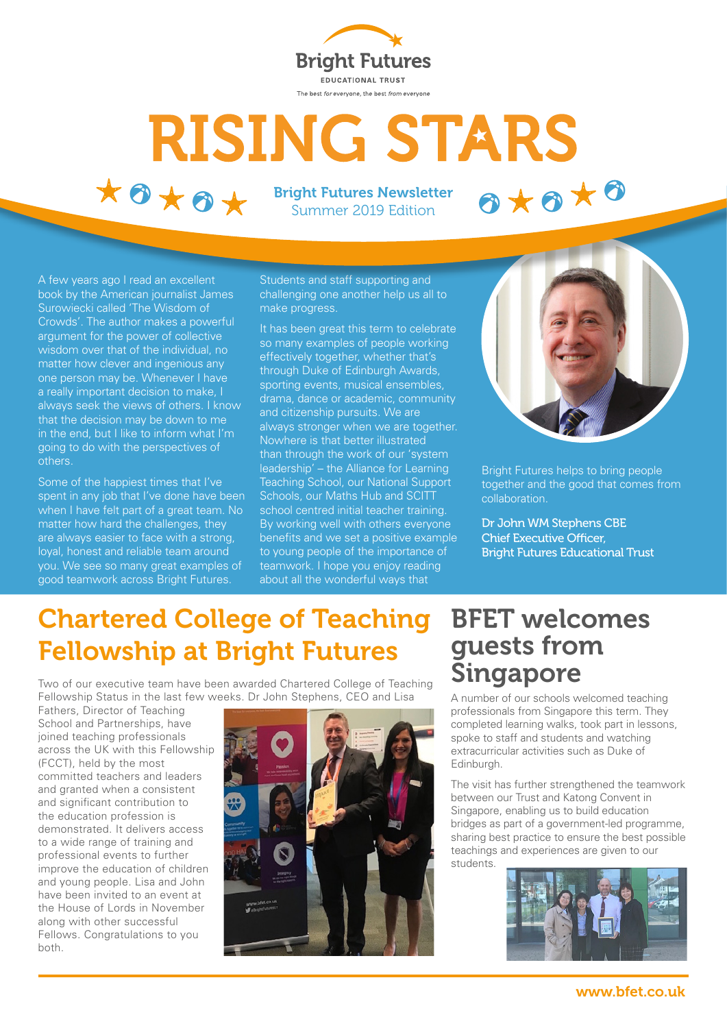

# **RISING STARS**  $*0**0*$ 0\*0\*0

Bright Futures Newsletter Summer 2019 Edition

A few years ago I read an excellent book by the American journalist James Surowiecki called 'The Wisdom of Crowds'. The author makes a powerful argument for the power of collective wisdom over that of the individual, no matter how clever and ingenious any one person may be. Whenever I have a really important decision to make, I always seek the views of others. I know that the decision may be down to me in the end, but I like to inform what I'm going to do with the perspectives of others.

Some of the happiest times that I've spent in any job that I've done have been when I have felt part of a great team. No matter how hard the challenges, they are always easier to face with a strong, loyal, honest and reliable team around you. We see so many great examples of good teamwork across Bright Futures.

Students and staff supporting and challenging one another help us all to make progress.

It has been great this term to celebrate so many examples of people working effectively together, whether that's through Duke of Edinburgh Awards, sporting events, musical ensembles, drama, dance or academic, community and citizenship pursuits. We are always stronger when we are together. Nowhere is that better illustrated than through the work of our 'system leadership' – the Alliance for Learning Teaching School, our National Support Schools, our Maths Hub and SCITT school centred initial teacher training. By working well with others everyone benefits and we set a positive example to young people of the importance of teamwork. I hope you enjoy reading about all the wonderful ways that



Bright Futures helps to bring people together and the good that comes from collaboration.

Dr John WM Stephens CBE Chief Executive Officer, Bright Futures Educational Trust

#### Chartered College of Teaching Fellowship at Bright Futures

Two of our executive team have been awarded Chartered College of Teaching Fellowship Status in the last few weeks. Dr John Stephens, CEO and Lisa

Fathers, Director of Teaching School and Partnerships, have joined teaching professionals across the UK with this Fellowship (FCCT), held by the most committed teachers and leaders and granted when a consistent and significant contribution to the education profession is demonstrated. It delivers access to a wide range of training and professional events to further improve the education of children and young people. Lisa and John have been invited to an event at the House of Lords in November along with other successful Fellows. Congratulations to you both.



#### BFET welcomes guests from Singapore

A number of our schools welcomed teaching professionals from Singapore this term. They completed learning walks, took part in lessons, spoke to staff and students and watching extracurricular activities such as Duke of Edinburgh.

The visit has further strengthened the teamwork between our Trust and Katong Convent in Singapore, enabling us to build education bridges as part of a government-led programme, sharing best practice to ensure the best possible teachings and experiences are given to our students.

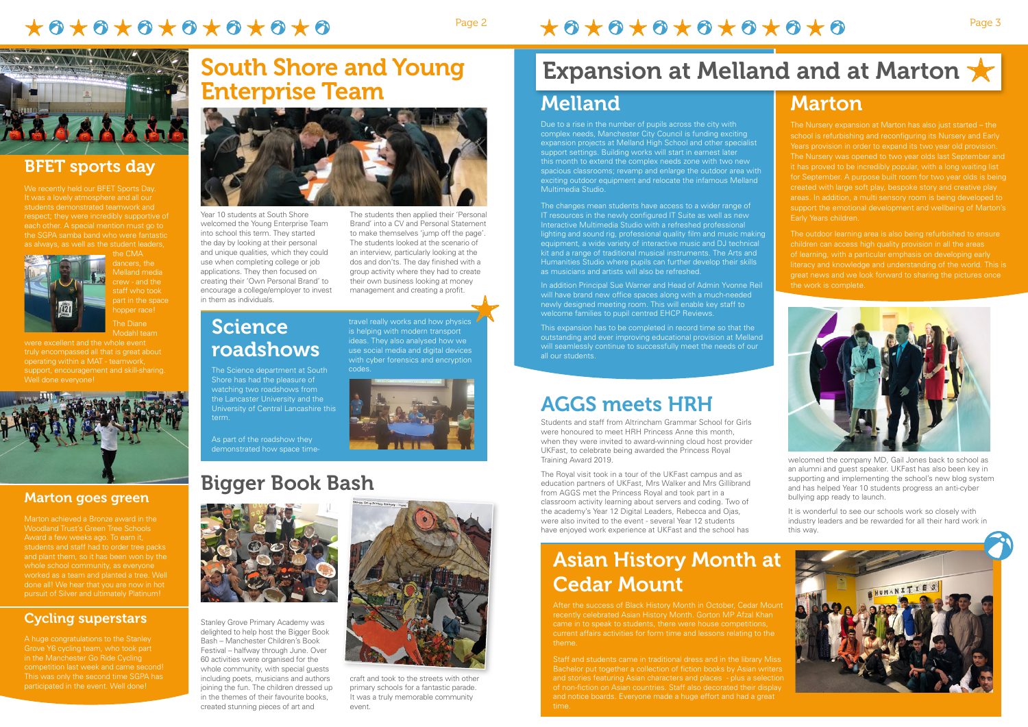# $\star\bullet\star\bullet\star\bullet\star\bullet\star\bullet\star\bullet\star\bullet$

# Page 2  $\star$  3  $\star$  3  $\star$  3  $\star$  3  $\star$  3  $\star$  6  $\star$  6  $\star$  6



Year 10 students at South Shore welcomed the Young Enterprise Team into school this term. They started the day by looking at their personal and unique qualities, which they could use when completing college or job applications. They then focused on creating their 'Own Personal Brand' to encourage a college/employer to invest in them as individuals.

The students then applied their 'Personal Brand' into a CV and Personal Statement to make themselves 'jump off the page' The students looked at the scenario of an interview, particularly looking at the dos and don'ts. The day finished with a group activity where they had to create their own business looking at money management and creating a profit.

Science

roadshows

The Science department at South Shore has had the pleasure of watching two roadshows from the Lancaster University and the University of Central Lancashire this

term.

As part of the roadshow they demonstrated how space time-

# Bigger Book Bash



travel really works and how physics is helping with modern transport ideas. They also analysed how we use social media and digital devices with cyber forensics and encryption



### Asian History Month at Cedar Mount

After the success of Black History Month in October, Cedar Mount recently celebrated Asian History Month. Gorton MP Afzal Khan current affairs activities for form time and lessons relating to the theme.

Staff and students came in traditional dress and in the library Miss Bachelor put together a collection of fiction books by Asian writers and stories featuring Asian characters and places - plus a selection of non-fiction on Asian countries. Staff also decorated their display and notice boards. Everyone made a huge effort and had a great time.



#### BFET sports day

It was a lovely atmosphere and all our students demonstrated teamwork and respect; they were incredibly supportive of each other. A special mention must go to the SGPA samba band who were fantastic as always, as well as the student leaders,



#### Marton Melland Expansion at Melland and at Marton  $\bigstar$

the CMA dancers, the Melland media crew - and the staff who took part in the space hopper race!

The Diane Modahl team

truly encompassed all that is great about operating within a MAT - teamwork, support, encouragement and skill-sharing. Well done everyone!



### AGGS meets HRH

children can access high quality provision in all the areas of learning, with a particular emphasis on developing early literacy and knowledge and understanding of the world. This is great news and we look forward to sharing the pictures once the work is complete.



Students and staff from Altrincham Grammar School for Girls were honoured to meet HRH Princess Anne this month when they were invited to award-winning cloud host provider UKFast, to celebrate being awarded the Princess Royal Training Award 2019.

The Royal visit took in a tour of the UKFast campus and as education partners of UKFast, Mrs Walker and Mrs Gillibrand from AGGS met the Princess Royal and took part in a classroom activity learning about servers and coding. Two of the academy's Year 12 Digital Leaders, Rebecca and Ojas, were also invited to the event - several Year 12 students have enjoyed work experience at UKFast and the school has

welcomed the company MD, Gail Jones back to school as an alumni and guest speaker. UKFast has also been key in supporting and implementing the school's new blog system and has helped Year 10 students progress an anti-cyber bullying app ready to launch.

It is wonderful to see our schools work so closely with industry leaders and be rewarded for all their hard work in this way.





Stanley Grove Primary Academy was delighted to help host the Bigger Book Bash – Manchester Children's Book Festival – halfway through June. Over 60 activities were organised for the whole community, with special guests including poets, musicians and authors joining the fun. The children dressed up in the themes of their favourite books, created stunning pieces of art and



craft and took to the streets with other primary schools for a fantastic parade. It was a truly memorable community event.

The Nursery expansion at Marton has also just started – the school is refurbishing and reconfiguring its Nursery and Early The Nursery was opened to two year olds last September and it has proved to be incredibly popular, with a long waiting list for September. A purpose built room for two year olds is being created with large soft play, bespoke story and creative play areas. In addition, a multi sensory room is being developed to support the emotional development and wellbeing of Marton's Early Years children.

Due to a rise in the number of pupils across the city with complex needs, Manchester City Council is funding exciting expansion projects at Melland High School and other specialist support settings. Building works will start in earnest later this month to extend the complex needs zone with two new spacious classrooms; revamp and enlarge the outdoor area with exciting outdoor equipment and relocate the infamous Melland Multimedia Studio.

The changes mean students have access to a wider range of IT resources in the newly configured IT Suite as well as new Interactive Multimedia Studio with a refreshed professional lighting and sound rig, professional quality film and music making equipment, a wide variety of interactive music and DJ technical kit and a range of traditional musical instruments. The Arts and Humanities Studio where pupils can further develop their skills as musicians and artists will also be refreshed.

In addition Principal Sue Warner and Head of Admin Yvonne Reil will have brand new office spaces along with a much-needed newly designed meeting room. This will enable key staff to welcome families to pupil centred EHCP Reviews.

This expansion has to be completed in record time so that the outstanding and ever improving educational provision at Melland will seamlessly continue to successfully meet the needs of our all our students.

## South Shore and Young Enterprise Team



Marton achieved a Bronze award in the Award a few weeks ago. To earn it, students and staff had to order tree packs and plant them, so it has been won by the pursuit of Silver and ultimately Platinum!

#### Cycling superstars

A huge congratulations to the Stanley Grove Y6 cycling team, who took part in the Manchester Go Ride Cycling This was only the second time SGPA has participated in the event. Well done!